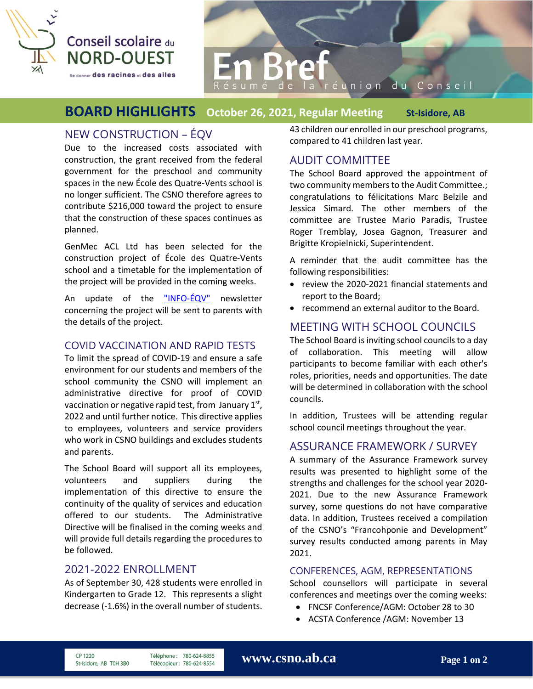

# la réunion du Conseil

# **BOARD HIGHLIGHTS October 26, 2021, Regular Meeting St-Isidore, AB**

# NEW CONSTRUCTION – ÉQV

Due to the increased costs associated with construction, the grant received from the federal government for the preschool and community spaces in the new École des Quatre-Vents school is no longer sufficient. The CSNO therefore agrees to contribute \$216,000 toward the project to ensure that the construction of these spaces continues as planned.

GenMec ACL Ltd has been selected for the construction project of École des Quatre-Vents school and a timetable for the implementation of the project will be provided in the coming weeks.

An update of the ["INFO-ÉQV"](https://csno.ab.ca/2020/10/15/info-eqv/) newsletter concerning the project will be sent to parents with the details of the project.

#### COVID VACCINATION AND RAPID TESTS

To limit the spread of COVID-19 and ensure a safe environment for our students and members of the school community the CSNO will implement an administrative directive for proof of COVID vaccination or negative rapid test, from January  $1<sup>st</sup>$ , 2022 and until further notice. This directive applies to employees, volunteers and service providers who work in CSNO buildings and excludes students and parents.

The School Board will support all its employees, volunteers and suppliers during the implementation of this directive to ensure the continuity of the quality of services and education offered to our students. The Administrative Directive will be finalised in the coming weeks and will provide full details regarding the procedures to be followed.

### 2021-2022 ENROLLMENT

As of September 30, 428 students were enrolled in Kindergarten to Grade 12. This represents a slight decrease (-1.6%) in the overall number of students.

43 children our enrolled in our preschool programs, compared to 41 children last year.

## AUDIT COMMITTEE

The School Board approved the appointment of two community members to the Audit Committee.; congratulations to félicitations Marc Belzile and Jessica Simard. The other members of the committee are Trustee Mario Paradis, Trustee Roger Tremblay, Josea Gagnon, Treasurer and Brigitte Kropielnicki, Superintendent.

A reminder that the audit committee has the following responsibilities:

- review the 2020-2021 financial statements and report to the Board;
- recommend an external auditor to the Board.

# MEETING WITH SCHOOL COUNCILS

The School Board is inviting school councils to a day of collaboration. This meeting will allow participants to become familiar with each other's roles, priorities, needs and opportunities. The date will be determined in collaboration with the school councils.

In addition, Trustees will be attending regular school council meetings throughout the year.

#### ASSURANCE FRAMEWORK / SURVEY

A summary of the Assurance Framework survey results was presented to highlight some of the strengths and challenges for the school year 2020- 2021. Due to the new Assurance Framework survey, some questions do not have comparative data. In addition, Trustees received a compilation of the CSNO's "Francohponie and Development" survey results conducted among parents in May 2021.

#### CONFERENCES, AGM, REPRESENTATIONS

School counsellors will participate in several conferences and meetings over the coming weeks:

- FNCSF Conference/AGM: October 28 to 30
- ACSTA Conference /AGM: November 13